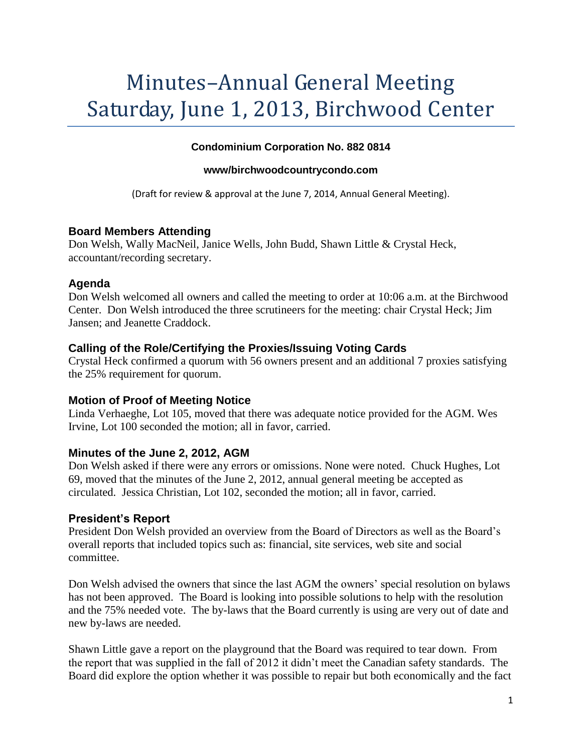# Minutes–Annual General Meeting Saturday, June 1, 2013, Birchwood Center

### **Condominium Corporation No. 882 0814**

#### **www/birchwoodcountrycondo.com**

(Draft for review & approval at the June 7, 2014, Annual General Meeting).

### **Board Members Attending**

Don Welsh, Wally MacNeil, Janice Wells, John Budd, Shawn Little & Crystal Heck, accountant/recording secretary.

### **Agenda**

Don Welsh welcomed all owners and called the meeting to order at 10:06 a.m. at the Birchwood Center. Don Welsh introduced the three scrutineers for the meeting: chair Crystal Heck; Jim Jansen; and Jeanette Craddock.

### **Calling of the Role/Certifying the Proxies/Issuing Voting Cards**

Crystal Heck confirmed a quorum with 56 owners present and an additional 7 proxies satisfying the 25% requirement for quorum.

### **Motion of Proof of Meeting Notice**

Linda Verhaeghe, Lot 105, moved that there was adequate notice provided for the AGM. Wes Irvine, Lot 100 seconded the motion; all in favor, carried.

# **Minutes of the June 2, 2012, AGM**

Don Welsh asked if there were any errors or omissions. None were noted. Chuck Hughes, Lot 69, moved that the minutes of the June 2, 2012, annual general meeting be accepted as circulated. Jessica Christian, Lot 102, seconded the motion; all in favor, carried.

### **President's Report**

President Don Welsh provided an overview from the Board of Directors as well as the Board's overall reports that included topics such as: financial, site services, web site and social committee.

Don Welsh advised the owners that since the last AGM the owners' special resolution on bylaws has not been approved. The Board is looking into possible solutions to help with the resolution and the 75% needed vote. The by-laws that the Board currently is using are very out of date and new by-laws are needed.

Shawn Little gave a report on the playground that the Board was required to tear down. From the report that was supplied in the fall of 2012 it didn't meet the Canadian safety standards. The Board did explore the option whether it was possible to repair but both economically and the fact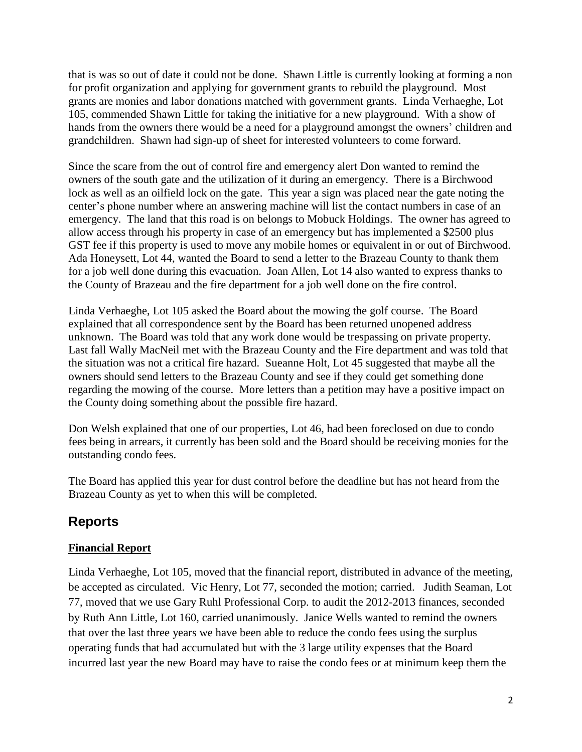that is was so out of date it could not be done. Shawn Little is currently looking at forming a non for profit organization and applying for government grants to rebuild the playground. Most grants are monies and labor donations matched with government grants. Linda Verhaeghe, Lot 105, commended Shawn Little for taking the initiative for a new playground. With a show of hands from the owners there would be a need for a playground amongst the owners' children and grandchildren. Shawn had sign-up of sheet for interested volunteers to come forward.

Since the scare from the out of control fire and emergency alert Don wanted to remind the owners of the south gate and the utilization of it during an emergency. There is a Birchwood lock as well as an oilfield lock on the gate. This year a sign was placed near the gate noting the center's phone number where an answering machine will list the contact numbers in case of an emergency. The land that this road is on belongs to Mobuck Holdings. The owner has agreed to allow access through his property in case of an emergency but has implemented a \$2500 plus GST fee if this property is used to move any mobile homes or equivalent in or out of Birchwood. Ada Honeysett, Lot 44, wanted the Board to send a letter to the Brazeau County to thank them for a job well done during this evacuation. Joan Allen, Lot 14 also wanted to express thanks to the County of Brazeau and the fire department for a job well done on the fire control.

Linda Verhaeghe, Lot 105 asked the Board about the mowing the golf course. The Board explained that all correspondence sent by the Board has been returned unopened address unknown. The Board was told that any work done would be trespassing on private property. Last fall Wally MacNeil met with the Brazeau County and the Fire department and was told that the situation was not a critical fire hazard. Sueanne Holt, Lot 45 suggested that maybe all the owners should send letters to the Brazeau County and see if they could get something done regarding the mowing of the course. More letters than a petition may have a positive impact on the County doing something about the possible fire hazard.

Don Welsh explained that one of our properties, Lot 46, had been foreclosed on due to condo fees being in arrears, it currently has been sold and the Board should be receiving monies for the outstanding condo fees.

The Board has applied this year for dust control before the deadline but has not heard from the Brazeau County as yet to when this will be completed.

# **Reports**

# **Financial Report**

Linda Verhaeghe, Lot 105, moved that the financial report, distributed in advance of the meeting, be accepted as circulated. Vic Henry, Lot 77, seconded the motion; carried. Judith Seaman, Lot 77, moved that we use Gary Ruhl Professional Corp. to audit the 2012-2013 finances, seconded by Ruth Ann Little, Lot 160, carried unanimously. Janice Wells wanted to remind the owners that over the last three years we have been able to reduce the condo fees using the surplus operating funds that had accumulated but with the 3 large utility expenses that the Board incurred last year the new Board may have to raise the condo fees or at minimum keep them the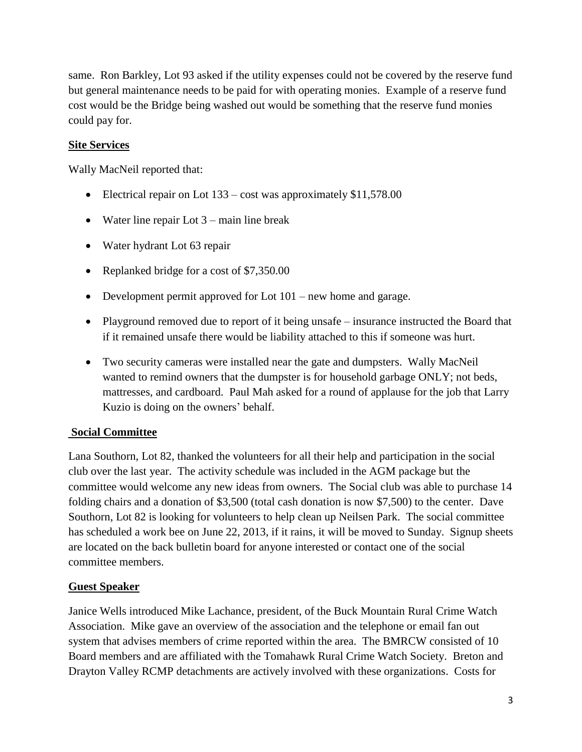same. Ron Barkley, Lot 93 asked if the utility expenses could not be covered by the reserve fund but general maintenance needs to be paid for with operating monies. Example of a reserve fund cost would be the Bridge being washed out would be something that the reserve fund monies could pay for.

### **Site Services**

Wally MacNeil reported that:

- Electrical repair on Lot 133 cost was approximately \$11,578.00
- Water line repair Lot  $3 \text{main line break}$
- Water hydrant Lot 63 repair
- Replanked bridge for a cost of \$7,350.00
- Development permit approved for Lot 101 new home and garage.
- Playground removed due to report of it being unsafe insurance instructed the Board that if it remained unsafe there would be liability attached to this if someone was hurt.
- Two security cameras were installed near the gate and dumpsters. Wally MacNeil wanted to remind owners that the dumpster is for household garbage ONLY; not beds, mattresses, and cardboard. Paul Mah asked for a round of applause for the job that Larry Kuzio is doing on the owners' behalf.

### **Social Committee**

Lana Southorn, Lot 82, thanked the volunteers for all their help and participation in the social club over the last year. The activity schedule was included in the AGM package but the committee would welcome any new ideas from owners. The Social club was able to purchase 14 folding chairs and a donation of \$3,500 (total cash donation is now \$7,500) to the center. Dave Southorn, Lot 82 is looking for volunteers to help clean up Neilsen Park. The social committee has scheduled a work bee on June 22, 2013, if it rains, it will be moved to Sunday. Signup sheets are located on the back bulletin board for anyone interested or contact one of the social committee members.

### **Guest Speaker**

Janice Wells introduced Mike Lachance, president, of the Buck Mountain Rural Crime Watch Association. Mike gave an overview of the association and the telephone or email fan out system that advises members of crime reported within the area. The BMRCW consisted of 10 Board members and are affiliated with the Tomahawk Rural Crime Watch Society. Breton and Drayton Valley RCMP detachments are actively involved with these organizations. Costs for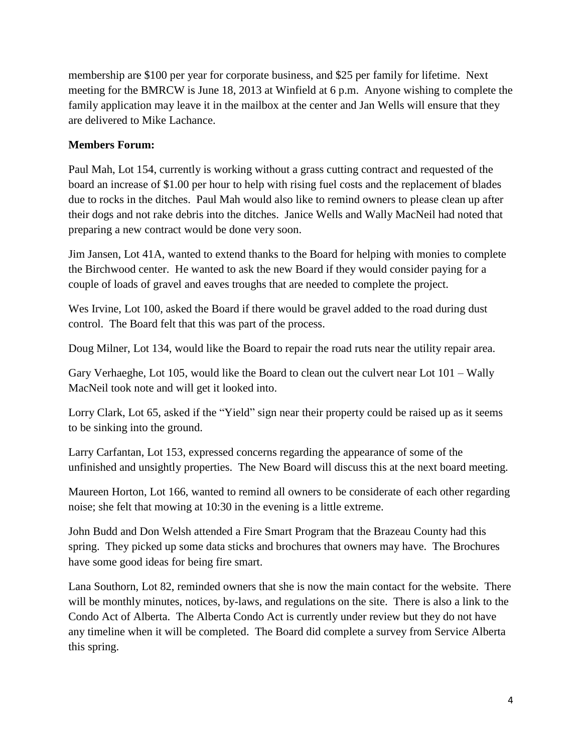membership are \$100 per year for corporate business, and \$25 per family for lifetime. Next meeting for the BMRCW is June 18, 2013 at Winfield at 6 p.m. Anyone wishing to complete the family application may leave it in the mailbox at the center and Jan Wells will ensure that they are delivered to Mike Lachance.

### **Members Forum:**

Paul Mah, Lot 154, currently is working without a grass cutting contract and requested of the board an increase of \$1.00 per hour to help with rising fuel costs and the replacement of blades due to rocks in the ditches. Paul Mah would also like to remind owners to please clean up after their dogs and not rake debris into the ditches. Janice Wells and Wally MacNeil had noted that preparing a new contract would be done very soon.

Jim Jansen, Lot 41A, wanted to extend thanks to the Board for helping with monies to complete the Birchwood center. He wanted to ask the new Board if they would consider paying for a couple of loads of gravel and eaves troughs that are needed to complete the project.

Wes Irvine, Lot 100, asked the Board if there would be gravel added to the road during dust control. The Board felt that this was part of the process.

Doug Milner, Lot 134, would like the Board to repair the road ruts near the utility repair area.

Gary Verhaeghe, Lot 105, would like the Board to clean out the culvert near Lot 101 – Wally MacNeil took note and will get it looked into.

Lorry Clark, Lot 65, asked if the "Yield" sign near their property could be raised up as it seems to be sinking into the ground.

Larry Carfantan, Lot 153, expressed concerns regarding the appearance of some of the unfinished and unsightly properties. The New Board will discuss this at the next board meeting.

Maureen Horton, Lot 166, wanted to remind all owners to be considerate of each other regarding noise; she felt that mowing at 10:30 in the evening is a little extreme.

John Budd and Don Welsh attended a Fire Smart Program that the Brazeau County had this spring. They picked up some data sticks and brochures that owners may have. The Brochures have some good ideas for being fire smart.

Lana Southorn, Lot 82, reminded owners that she is now the main contact for the website. There will be monthly minutes, notices, by-laws, and regulations on the site. There is also a link to the Condo Act of Alberta. The Alberta Condo Act is currently under review but they do not have any timeline when it will be completed. The Board did complete a survey from Service Alberta this spring.